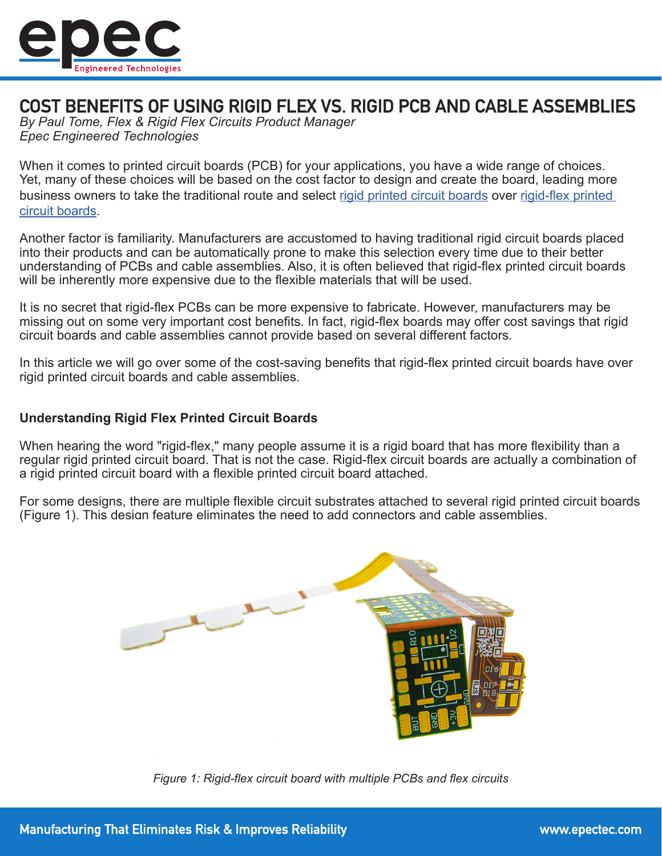

# COST BENEFITS OF USING RIGID FLEX VS. RIGID PCB AND CABLE ASSEMBLIES

*By Paul Tome, Flex & Rigid Flex Circuits Product Manager Epec Engineered Technologies*

When it comes to printed circuit boards (PCB) for your applications, you have a wide range of choices. Yet, many of these choices will be based on the cost factor to design and create the board, leading more business owners to take the traditional route and select [rigid printed circuit boards](https://www.epectec.com/pcb/) over [rigid-flex printed](https://www.epectec.com/flex/)  [circuit boards](https://www.epectec.com/flex/).

Another factor is familiarity. Manufacturers are accustomed to having traditional rigid circuit boards placed into their products and can be automatically prone to make this selection every time due to their better understanding of PCBs and cable assemblies. Also, it is often believed that rigid-flex printed circuit boards will be inherently more expensive due to the flexible materials that will be used.

It is no secret that rigid-flex PCBs can be more expensive to fabricate. However, manufacturers may be missing out on some very important cost benefits. In fact, rigid-flex boards may offer cost savings that rigid circuit boards and cable assemblies cannot provide based on several different factors.

In this article we will go over some of the cost-saving benefits that rigid-flex printed circuit boards have over rigid printed circuit boards and cable assemblies.

# **Understanding Rigid Flex Printed Circuit Boards**

When hearing the word "rigid-flex," many people assume it is a rigid board that has more flexibility than a regular rigid printed circuit board. That is not the case. Rigid-flex circuit boards are actually a combination of a rigid printed circuit board with a flexible printed circuit board attached.

For some designs, there are multiple flexible circuit substrates attached to several rigid printed circuit boards (Figure 1). This design feature eliminates the need to add connectors and cable assemblies.



*Figure 1: Rigid-flex circuit board with multiple PCBs and flex circuits*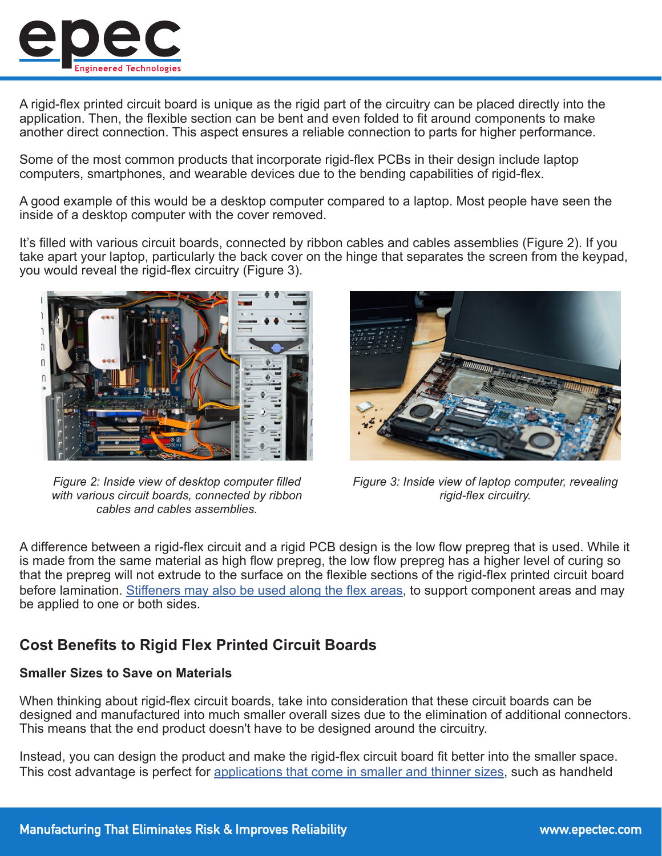

A rigid-flex printed circuit board is unique as the rigid part of the circuitry can be placed directly into the application. Then, the flexible section can be bent and even folded to fit around components to make another direct connection. This aspect ensures a reliable connection to parts for higher performance.

Some of the most common products that incorporate rigid-flex PCBs in their design include laptop computers, smartphones, and wearable devices due to the bending capabilities of rigid-flex.

A good example of this would be a desktop computer compared to a laptop. Most people have seen the inside of a desktop computer with the cover removed.

It's filled with various circuit boards, connected by ribbon cables and cables assemblies (Figure 2). If you take apart your laptop, particularly the back cover on the hinge that separates the screen from the keypad, you would reveal the rigid-flex circuitry (Figure 3).



*Figure 2: Inside view of desktop computer filled with various circuit boards, connected by ribbon cables and cables assemblies.*



*Figure 3: Inside view of laptop computer, revealing rigid-flex circuitry.*

A difference between a rigid-flex circuit and a rigid PCB design is the low flow prepreg that is used. While it is made from the same material as high flow prepreg, the low flow prepreg has a higher level of curing so that the prepreg will not extrude to the surface on the flexible sections of the rigid-flex printed circuit board before lamination. [Stiffeners may also be used along the flex areas](http://www.epectec.com/flex/flex-circuit-stiffeners.html), to support component areas and may be applied to one or both sides.

# **Cost Benefits to Rigid Flex Printed Circuit Boards**

# **Smaller Sizes to Save on Materials**

When thinking about rigid-flex circuit boards, take into consideration that these circuit boards can be designed and manufactured into much smaller overall sizes due to the elimination of additional connectors. This means that the end product doesn't have to be designed around the circuitry.

Instead, you can design the product and make the rigid-flex circuit board fit better into the smaller space. This cost advantage is perfect for [applications that come in smaller and thinner sizes](https://www.epectec.com/flex/flexible-pcb-microcircuits.html), such as handheld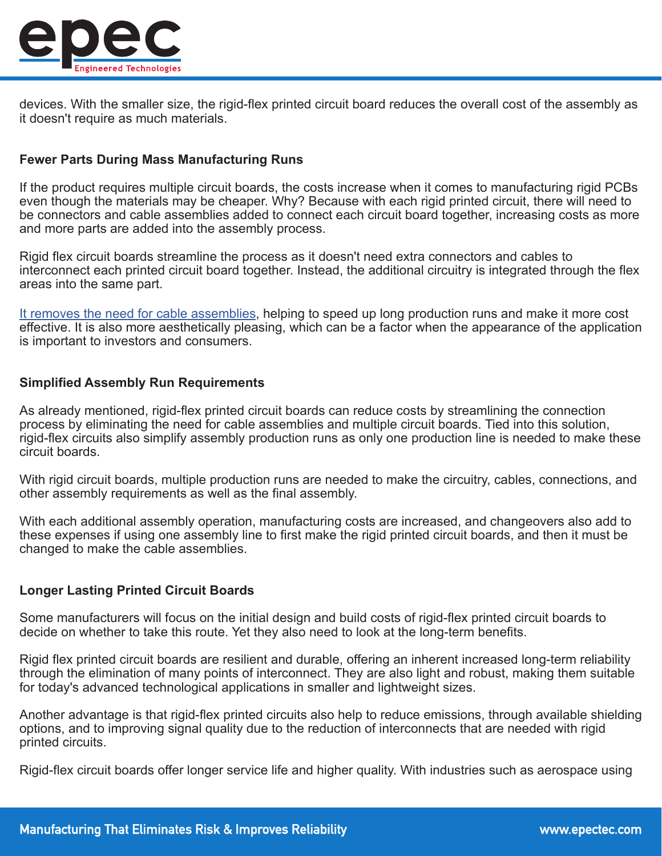

devices. With the smaller size, the rigid-flex printed circuit board reduces the overall cost of the assembly as it doesn't require as much materials.

# **Fewer Parts During Mass Manufacturing Runs**

If the product requires multiple circuit boards, the costs increase when it comes to manufacturing rigid PCBs even though the materials may be cheaper. Why? Because with each rigid printed circuit, there will need to be connectors and cable assemblies added to connect each circuit board together, increasing costs as more and more parts are added into the assembly process.

Rigid flex circuit boards streamline the process as it doesn't need extra connectors and cables to interconnect each printed circuit board together. Instead, the additional circuitry is integrated through the flex areas into the same part.

[It removes the need for cable assemblies,](https://www.epectec.com/cable-assemblies/) helping to speed up long production runs and make it more cost effective. It is also more aesthetically pleasing, which can be a factor when the appearance of the application is important to investors and consumers.

#### **Simplified Assembly Run Requirements**

As already mentioned, rigid-flex printed circuit boards can reduce costs by streamlining the connection process by eliminating the need for cable assemblies and multiple circuit boards. Tied into this solution, rigid-flex circuits also simplify assembly production runs as only one production line is needed to make these circuit boards.

With rigid circuit boards, multiple production runs are needed to make the circuitry, cables, connections, and other assembly requirements as well as the final assembly.

With each additional assembly operation, manufacturing costs are increased, and changeovers also add to these expenses if using one assembly line to first make the rigid printed circuit boards, and then it must be changed to make the cable assemblies.

# **Longer Lasting Printed Circuit Boards**

Some manufacturers will focus on the initial design and build costs of rigid-flex printed circuit boards to decide on whether to take this route. Yet they also need to look at the long-term benefits.

Rigid flex printed circuit boards are resilient and durable, offering an inherent increased long-term reliability through the elimination of many points of interconnect. They are also light and robust, making them suitable for today's advanced technological applications in smaller and lightweight sizes.

Another advantage is that rigid-flex printed circuits also help to reduce emissions, through available shielding options, and to improving signal quality due to the reduction of interconnects that are needed with rigid printed circuits.

Rigid-flex circuit boards offer longer service life and higher quality. With industries such as aerospace using